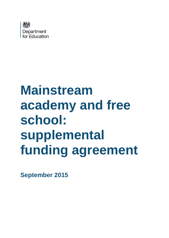

# **Mainstream academy and free school: supplemental funding agreement**

**September 2015**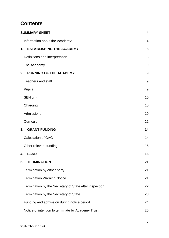# **Contents**

| <b>SUMMARY SHEET</b>                                   | $\overline{\mathbf{4}}$ |
|--------------------------------------------------------|-------------------------|
| Information about the Academy:                         | 4                       |
| <b>ESTABLISHING THE ACADEMY</b><br>1.                  | 8                       |
| Definitions and interpretation                         | 8                       |
| The Academy                                            | 9                       |
| <b>RUNNING OF THE ACADEMY</b><br>2.                    | 9                       |
| <b>Teachers and staff</b>                              | 9                       |
| <b>Pupils</b>                                          | 9                       |
| <b>SEN unit</b>                                        | 10                      |
| Charging                                               | 10                      |
| Admissions                                             | 10                      |
| Curriculum                                             | 12                      |
| 3.<br><b>GRANT FUNDING</b>                             | 14                      |
| <b>Calculation of GAG</b>                              | 14                      |
| Other relevant funding                                 | 16                      |
| <b>LAND</b><br>4.                                      | 16                      |
| 5.<br><b>TERMINATION</b>                               | 21                      |
| Termination by either party                            | 21                      |
| <b>Termination Warning Notice</b>                      | 21                      |
| Termination by the Secretary of State after inspection | 22                      |
| Termination by the Secretary of State                  | 23                      |
| Funding and admission during notice period             | 24                      |
| Notice of intention to terminate by Academy Trust      | 25                      |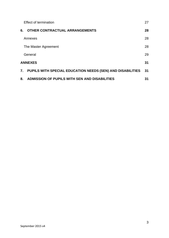|                      | <b>Effect of termination</b>                               | 27 |
|----------------------|------------------------------------------------------------|----|
| 6.                   | <b>OTHER CONTRACTUAL ARRANGEMENTS</b>                      | 28 |
|                      | Annexes                                                    | 28 |
|                      | The Master Agreement                                       | 28 |
|                      | General                                                    | 29 |
| <b>ANNEXES</b><br>31 |                                                            |    |
| 7 <sub>1</sub>       | PUPILS WITH SPECIAL EDUCATION NEEDS (SEN) AND DISABILITIES | 31 |
| 8.                   | ADMISSION OF PUPILS WITH SEN AND DISABILITIES              | 31 |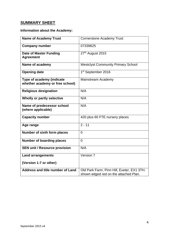# <span id="page-3-0"></span>**SUMMARY SHEET**

# <span id="page-3-1"></span>**Information about the Academy:**

| <b>Name of Academy Trust</b>                                 | <b>Cornerstone Academy Trust</b>           |
|--------------------------------------------------------------|--------------------------------------------|
| <b>Company number</b>                                        | 07339625                                   |
| <b>Date of Master Funding</b><br><b>Agreement</b>            | 27 <sup>th</sup> August 2015               |
| Name of academy                                              | <b>Westclyst Community Primary School</b>  |
| <b>Opening date</b>                                          | 1 <sup>st</sup> September 2016             |
| Type of academy (indicate<br>whether academy or free school) | Mainstream Academy                         |
| <b>Religious designation</b>                                 | N/A                                        |
| <b>Wholly or partly selective</b>                            | N/A                                        |
| Name of predecessor school<br>(where applicable)             | N/A                                        |
| <b>Capacity number</b>                                       | 420 plus 60 FTE nursery places             |
| Age range                                                    | $2 - 11$                                   |
| Number of sixth form places                                  | $\overline{0}$                             |
| <b>Number of boarding places</b>                             | $\Omega$                                   |
| <b>SEN unit / Resource provision</b>                         | N/A                                        |
| <b>Land arrangements</b>                                     | Version 7                                  |
| (Version 1-7 or other)                                       |                                            |
| <b>Address and title number of Land</b>                      | Old Park Farm, Pinn Hill, Exeter, EX1 3TH. |
|                                                              | shown edged red on the attached Plan.      |
|                                                              |                                            |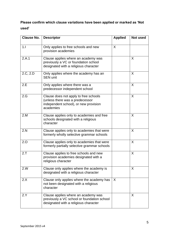# **Please confirm which clause variations have been applied or marked as 'Not used'**

| Clause No. | <b>Descriptor</b>                                                                                                              | <b>Applied</b> | Not used |
|------------|--------------------------------------------------------------------------------------------------------------------------------|----------------|----------|
| 1.1        | Only applies to free schools and new<br>provision academies                                                                    | X              |          |
| 2.A.1      | Clause applies where an academy was<br>previously a VC or foundation school<br>designated with a religious character           |                | X        |
| 2.C, 2.D   | Only applies where the academy has an<br><b>SEN unit</b>                                                                       |                | X        |
| 2.E        | Only applies where there was a<br>predecessor independent school                                                               |                | X        |
| 2.G        | Clause does not apply to free schools<br>(unless there was a predecessor<br>independent school), or new provision<br>academies |                | X        |
| 2.M        | Clause applies only to academies and free<br>schools designated with a religious<br>character                                  |                | X        |
| 2.N        | Clause applies only to academies that were<br>formerly wholly selective grammar schools                                        |                | X        |
| 2.0        | Clause applies only to academies that were<br>formerly partially selective grammar schools                                     |                | X        |
| 2.7        | Clause applies to free schools and new<br>provision academies designated with a<br>religious character                         |                | X        |
| 2.W        | Clause only applies where the academy is<br>designated with a religious character                                              |                | X        |
| 2.X        | Clause only applies where the academy has<br>not been designated with a religious<br>character                                 | $\times$       |          |
| 2.Y        | Clause applies where an academy was<br>previously a VC school or foundation school<br>designated with a religious character    |                | X        |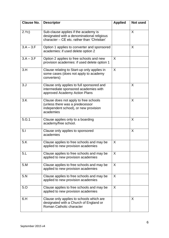| <b>Clause No.</b> | <b>Descriptor</b>                                                                                                                 | <b>Applied</b> | Not used |
|-------------------|-----------------------------------------------------------------------------------------------------------------------------------|----------------|----------|
| 2.Yc)             | Sub-clause applies if the academy is<br>designated with a denominational religious<br>character - CE etc. rather than 'Christian' |                | X        |
| $3.A - 3.F$       | Option 1 applies to converter and sponsored<br>academies: if used delete option 2                                                 |                | X        |
| $3.A - 3.F$       | Option 2 applies to free schools and new<br>provision academies: if used delete option 1                                          | $\sf X$        |          |
| 3.H               | Clause relating to Start-up only applies in<br>some cases (does not apply to academy<br>converters)                               | X              |          |
| 3. J              | Clause only applies to full sponsored and<br>intermediate sponsored academies with<br>approved Academy Action Plans               |                | X        |
| 3.K               | Clause does not apply to free schools<br>(unless there was a predecessor<br>independent school), or new provision<br>academies    |                | X        |
| 5.G.1             | Clause applies only to a boarding<br>academy/free school.                                                                         |                | X        |
| 5.1               | Clause only applies to sponsored<br>academies                                                                                     |                | X        |
| 5.K               | Clause applies to free schools and may be<br>applied to new provision academies                                                   | X              |          |
| 5.L               | Clause applies to free schools and may be<br>applied to new provision academies                                                   | X              |          |
| 5.M               | Clause applies to free schools and may be<br>applied to new provision academies                                                   | X              |          |
| 5.N               | Clause applies to free schools and may be<br>applied to new provision academies                                                   | X              |          |
| 5.0               | Clause applies to free schools and may be<br>applied to new provision academies                                                   | X              |          |
| 6.H               | Clause only applies to schools which are<br>designated with a Church of England or<br>Roman Catholic character                    |                | X        |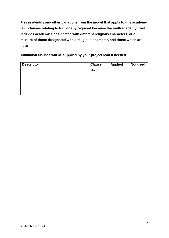**Please identify any other variations from the model that apply to this academy (e.g. clauses relating to PFI, or any required because the multi academy trust includes academies designated with different religious characters, or a mixture of those designated with a religious character, and those which are not):**

**Additional clauses will be supplied by your project lead if needed.**

| <b>Descriptor</b> | <b>Clause</b> | <b>Applied</b> | Not used |
|-------------------|---------------|----------------|----------|
|                   | No.           |                |          |
|                   |               |                |          |
|                   |               |                |          |
|                   |               |                |          |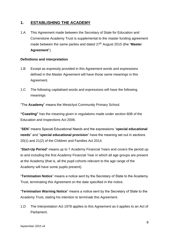# <span id="page-7-0"></span>**1. ESTABLISHING THE ACADEMY**

1.A This Agreement made between the Secretary of State for Education and Cornerstone Academy Trust is supplemental to the master funding agreement made between the same parties and dated 27<sup>th</sup> August 2015 (the "Master **Agreement**").

# <span id="page-7-1"></span>**Definitions and interpretation**

- 1.B Except as expressly provided in this Agreement words and expressions defined in the Master Agreement will have those same meanings in this Agreement.
- 1.C The following capitalised words and expressions will have the following meanings:

"The **Academy**" means the Westclyst Community Primary School.

**"Coasting"** has the meaning given in regulations made under section 60B of the Education and Inspections Act 2006.

"**SEN**" means Special Educational Needs and the expressions "**special educational needs**" and "**special educational provision**" have the meaning set out in sections 20(1) and 21(2) of the Children and Families Act 2014.

"**Start-Up Period**" means up to 7 Academy Financial Years and covers the period up to and including the first Academy Financial Year in which all age groups are present at the Academy (that is, all the pupil cohorts relevant to the age range of the Academy will have some pupils present).

"**Termination Notice**" means a notice sent by the Secretary of State to the Academy Trust, terminating this Agreement on the date specified in the notice.

"**Termination Warning Notice**" means a notice sent by the Secretary of State to the Academy Trust, stating his intention to terminate this Agreement.

1.D The Interpretation Act 1978 applies to this Agreement as it applies to an Act of Parliament.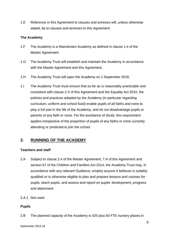1.E Reference in this Agreement to clauses and annexes will, unless otherwise stated, be to clauses and annexes to this Agreement.

#### <span id="page-8-0"></span>**The Academy**

- 1.F The Academy is a Mainstream Academy as defined in clause 1.4 of the Master Agreement.
- 1.G The Academy Trust will establish and maintain the Academy in accordance with the Master Agreement and this Agreement.
- 1.H The Academy Trust will open the Academy on 1 September 2016.
- 1.I The Academy Trust must ensure that so far as is reasonably practicable and consistent with clause 2.X of this Agreement and the Equality Act 2010, the policies and practices adopted by the Academy (in particular regarding curriculum, uniform and school food) enable pupils of all faiths and none to play a full part in the life of the Academy, and do not disadvantage pupils or parents of any faith or none. For the avoidance of doubt, this requirement applies irrespective of the proportion of pupils of any faiths or none currently attending or predicted to join the school.

# <span id="page-8-1"></span>**2. RUNNING OF THE ACADEMY**

# <span id="page-8-2"></span>**Teachers and staff**

- 2.A Subject to clause 2.4 of the Master Agreement, 7.A of this Agreement and section 67 of the Children and Families Act 2014, the Academy Trust may, in accordance with any relevant Guidance, employ anyone it believes is suitably qualified or is otherwise eligible to plan and prepare lessons and courses for pupils, teach pupils, and assess and report on pupils' development, progress and attainment.
- 2.A.1 Not used.

#### <span id="page-8-3"></span>**Pupils**

2.B The planned capacity of the Academy is 420 plus 60 FTE nursery places in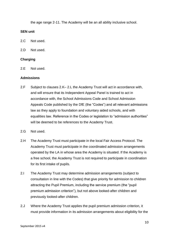the age range 2-11. The Academy will be an all ability inclusive school.

#### <span id="page-9-0"></span>**SEN unit**

2.C Not used.

2.D Not used.

#### <span id="page-9-1"></span>**Charging**

2.E Not used.

#### <span id="page-9-2"></span>**Admissions**

- 2.F Subject to clauses 2.K– 2.L the Academy Trust will act in accordance with, and will ensure that its Independent Appeal Panel is trained to act in accordance with, the School Admissions Code and School Admission Appeals Code published by the DfE (the "Codes") and all relevant admissions law as they apply to foundation and voluntary aided schools, and with equalities law. Reference in the Codes or legislation to "admission authorities" will be deemed to be references to the Academy Trust.
- 2.G Not used.
- 2.H The Academy Trust must participate in the local Fair Access Protocol. The Academy Trust must participate in the coordinated admission arrangements operated by the LA in whose area the Academy is situated. If the Academy is a free school, the Academy Trust is not required to participate in coordination for its first intake of pupils.
- 2.I The Academy Trust may determine admission arrangements (subject to consultation in line with the Codes) that give priority for admission to children attracting the Pupil Premium, including the service premium (the "pupil premium admission criterion"), but not above looked-after children and previously looked-after children.
- 2.J Where the Academy Trust applies the pupil premium admission criterion, it must provide information in its admission arrangements about eligibility for the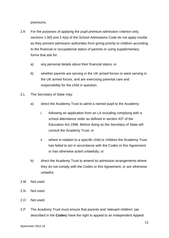premiums.

- 2.K For the purposes of applying the pupil premium admission criterion only, sections 1.9(f) and 2.4(a) of the School Admissions Code do not apply insofar as they prevent admission authorities from giving priority to children according to the financial or occupational status of parents or using supplementary forms that ask for:
	- a) any personal details about their financial status; or
	- b) whether parents are serving in the UK armed forces or were serving in the UK armed forces, and are exercising parental care and responsibility for the child in question.
- 2.L The Secretary of State may:
	- a) direct the Academy Trust to admit a named pupil to the Academy:
		- i. following an application from an LA including complying with a school attendance order as defined in section 437 of the Education Act 1996. Before doing so the Secretary of State will consult the Academy Trust; or
		- ii. where in relation to a specific child or children the Academy Trust has failed to act in accordance with the Codes or this Agreement or has otherwise acted unlawfully; or
	- b) direct the Academy Trust to amend its admission arrangements where they do not comply with the Codes or this Agreement, or are otherwise unlawful.
- 2.M Not used
- 2.N Not used.
- 2.O Not used.
- 2.P The Academy Trust must ensure that parents and 'relevant children' (as described in the **Codes**) have the right to appeal to an Independent Appeal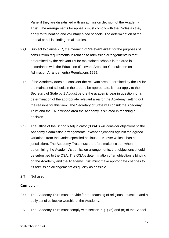Panel if they are dissatisfied with an admission decision of the Academy Trust. The arrangements for appeals must comply with the Codes as they apply to foundation and voluntary aided schools. The determination of the appeal panel is binding on all parties.

- 2.Q Subject to clause 2.R, the meaning of "**relevant area**" for the purposes of consultation requirements in relation to admission arrangements is that determined by the relevant LA for maintained schools in the area in accordance with the Education (Relevant Areas for Consultation on Admission Arrangements) Regulations 1999.
- 2.R If the Academy does not consider the relevant area determined by the LA for the maintained schools in the area to be appropriate, it must apply to the Secretary of State by 1 August before the academic year in question for a determination of the appropriate relevant area for the Academy, setting out the reasons for this view. The Secretary of State will consult the Academy Trust and the LA in whose area the Academy is situated in reaching a decision.
- 2.S The Office of the Schools Adjudicator ("**OSA**") will consider objections to the Academy's admission arrangements (except objections against the agreed variations from the Codes specified at clause 2.K, over which it has no jurisdiction). The Academy Trust must therefore make it clear, when determining the Academy's admission arrangements, that objections should be submitted to the OSA. The OSA's determination of an objection is binding on the Academy and the Academy Trust must make appropriate changes to its admission arrangements as quickly as possible.
- 2.T Not used.

#### <span id="page-11-0"></span>**Curriculum**

- 2.U The Academy Trust must provide for the teaching of religious education and a daily act of collective worship at the Academy.
- 2.V The Academy Trust must comply with section 71(1)-(6) and (8) of the School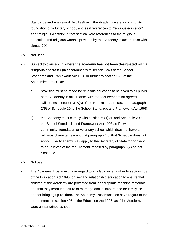Standards and Framework Act 1998 as if the Academy were a community, foundation or voluntary school, and as if references to "religious education" and "religious worship" in that section were references to the religious education and religious worship provided by the Academy in accordance with clause 2.X*.*

- 2.W Not used.
- 2.X Subject to clause 2.V, **where the academy has not been designated with a religious character** (in accordance with section 124B of the School Standards and Framework Act 1998 or further to section 6(8) of the Academies Act 2010):
	- a) provision must be made for religious education to be given to all pupils at the Academy in accordance with the requirements for agreed syllabuses in section 375(3) of the Education Act 1996 and paragraph 2(5) of Schedule 19 to the School Standards and Framework Act 1998;
	- b) the Academy must comply with section 70(1) of, and Schedule 20 to, the School Standards and Framework Act 1998 as if it were a community, foundation or voluntary school which does not have a religious character, except that paragraph 4 of that Schedule does not apply. The Academy may apply to the Secretary of State for consent to be relieved of the requirement imposed by paragraph 3(2) of that Schedule.

#### 2.Y Not used.

2.Z The Academy Trust must have regard to any Guidance, further to section 403 of the Education Act 1996, on sex and relationship education to ensure that children at the Academy are protected from inappropriate teaching materials and that they learn the nature of marriage and its importance for family life and for bringing up children. The Academy Trust must also have regard to the requirements in section 405 of the Education Act 1996, as if the Academy were a maintained school.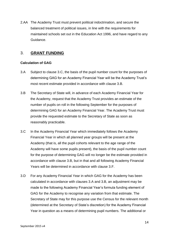2.AA The Academy Trust must prevent political indoctrination, and secure the balanced treatment of political issues, in line with the requirements for maintained schools set out in the Education Act 1996, and have regard to any Guidance.

# <span id="page-13-0"></span>3. **GRANT FUNDING**

# <span id="page-13-1"></span>**Calculation of GAG**

- 3.A Subject to clause 3.C, the basis of the pupil number count for the purposes of determining GAG for an Academy Financial Year will be the Academy Trust's most recent estimate provided in accordance with clause 3.B.
- 3.B The Secretary of State will, in advance of each Academy Financial Year for the Academy, request that the Academy Trust provides an estimate of the number of pupils on roll in the following September for the purposes of determining GAG for an Academy Financial Year. The Academy Trust must provide the requested estimate to the Secretary of State as soon as reasonably practicable.
- 3.C In the Academy Financial Year which immediately follows the Academy Financial Year in which all planned year groups will be present at the Academy (that is, all the pupil cohorts relevant to the age range of the Academy will have some pupils present), the basis of the pupil number count for the purpose of determining GAG will no longer be the estimate provided in accordance with clause 3.B, but in that and all following Academy Financial Years will be determined in accordance with clause 3.F.
- 3.D For any Academy Financial Year in which GAG for the Academy has been calculated in accordance with clauses 3.A and 3.B, an adjustment may be made to the following Academy Financial Year's formula funding element of GAG for the Academy to recognise any variation from that estimate. The Secretary of State may for this purpose use the Census for the relevant month (determined at the Secretary of State's discretion) for the Academy Financial Year in question as a means of determining pupil numbers. The additional or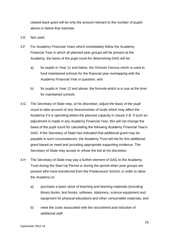clawed-back grant will be only the amount relevant to the number of pupils above or below that estimate.

- 3.E Not used.
- 3.F For Academy Financial Years which immediately follow the Academy Financial Year in which all planned year groups will be present at the Academy, the basis of the pupil count for determining GAG will be:
	- a) for pupils in Year 11 and below, the Schools Census which is used to fund maintained schools for the financial year overlapping with the Academy Financial Year in question; and
	- b) for pupils in Year 12 and above, the formula which is in use at the time for maintained schools
- 3.G The Secretary of State may, at his discretion, adjust the basis of the pupil count to take account of any diseconomies of scale which may affect the Academy if it is operating below the planned capacity in clause 2.B. If such an adjustment is made in any Academy Financial Year, this will not change the basis of the pupil count for calculating the following Academy Financial Year's GAG. If the Secretary of State has indicated that additional grant may be payable in such circumstances, the Academy Trust will bid for this additional grant based on need and providing appropriate supporting evidence. The Secretary of State may accept or refuse the bid at his discretion.
- 3.H The Secretary of State may pay a further element of GAG to the Academy Trust during the Start-Up Period or during the period when year groups are present who have transferred from the Predecessor School, in order to allow the Academy to:
	- a) purchase a basic stock of teaching and learning materials (including library books, text books, software, stationery, science equipment and equipment for physical education) and other consumable materials; and
	- b) meet the costs associated with the recruitment and induction of additional staff.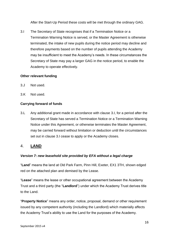After the Start-Up Period these costs will be met through the ordinary GAG.

3.I The Secretary of State recognises that if a Termination Notice or a Termination Warning Notice is served, or the Master Agreement is otherwise terminated, the intake of new pupils during the notice period may decline and therefore payments based on the number of pupils attending the Academy may be insufficient to meet the Academy's needs. In these circumstances the Secretary of State may pay a larger GAG in the notice period, to enable the Academy to operate effectively.

# <span id="page-15-0"></span>**Other relevant funding**

- 3.J Not used.
- 3.K Not used.

# **Carrying forward of funds**

3.L Any additional grant made in accordance with clause 3.I, for a period after the Secretary of State has served a Termination Notice or a Termination Warning Notice under this Agreement, or otherwise terminates the Master Agreement, may be carried forward without limitation or deduction until the circumstances set out in clause 3.I cease to apply or the Academy closes.

# <span id="page-15-1"></span>4. **LAND**

# *Version 7: new leasehold site provided by EFA without a legal charge*

"**Land**" means the land at Old Park Farm, Pinn Hill, Exeter, EX1 3TH, shown edged red on the attached plan and demised by the Lease.

"**Lease**" means the lease or other occupational agreement between the Academy Trust and a third party (the "**Landlord**") under which the Academy Trust derives title to the Land.

"**Property Notice**" means any order, notice, proposal, demand or other requirement issued by any competent authority (including the Landlord) which materially affects the Academy Trust's ability to use the Land for the purposes of the Academy.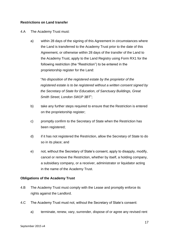#### **Restrictions on Land transfer**

#### 4.A The Academy Trust must:

a) within 28 days of the signing of this Agreement in circumstances where the Land is transferred to the Academy Trust prior to the date of this Agreement, or otherwise within 28 days of the transfer of the Land to the Academy Trust, apply to the Land Registry using Form RX1 for the following restriction (the "Restriction") to be entered in the proprietorship register for the Land:

"*No disposition of the registered estate by the proprietor of the registered estate is to be registered without a written consent signed by the Secretary of State for Education, of Sanctuary Buildings, Great Smith Street, London SW1P 3BT*";

- b) take any further steps required to ensure that the Restriction is entered on the proprietorship register;
- c) promptly confirm to the Secretary of State when the Restriction has been registered;
- d) if it has not registered the Restriction, allow the Secretary of State to do so in its place; and
- e) not, without the Secretary of State's consent, apply to disapply, modify, cancel or remove the Restriction, whether by itself, a holding company, a subsidiary company, or a receiver, administrator or liquidator acting in the name of the Academy Trust.

#### **Obligations of the Academy Trust**

- 4.B The Academy Trust must comply with the Lease and promptly enforce its rights against the Landlord.
- 4.C The Academy Trust must not, without the Secretary of State's consent:
	- a) terminate, renew, vary, surrender, dispose of or agree any revised rent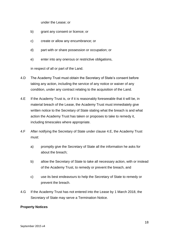under the Lease; or

- b) grant any consent or licence; or
- c) create or allow any encumbrance; or
- d) part with or share possession or occupation; or
- e) enter into any onerous or restrictive obligations,

in respect of all or part of the Land.

- 4.D The Academy Trust must obtain the Secretary of State's consent before taking any action, including the service of any notice or waiver of any condition, under any contract relating to the acquisition of the Land.
- 4.E If the Academy Trust is, or if it is reasonably foreseeable that it will be, in material breach of the Lease, the Academy Trust must immediately give written notice to the Secretary of State stating what the breach is and what action the Academy Trust has taken or proposes to take to remedy it, including timescales where appropriate.
- 4.F After notifying the Secretary of State under clause 4.E, the Academy Trust must:
	- a) promptly give the Secretary of State all the information he asks for about the breach;
	- b) allow the Secretary of State to take all necessary action, with or instead of the Academy Trust, to remedy or prevent the breach, and
	- c) use its best endeavours to help the Secretary of State to remedy or prevent the breach.
- 4.G If the Academy Trust has not entered into the Lease by 1 March 2018, the Secretary of State may serve a Termination Notice.

#### **Property Notices**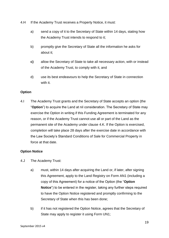- 4.H If the Academy Trust receives a Property Notice, it must:
	- a) send a copy of it to the Secretary of State within 14 days, stating how the Academy Trust intends to respond to it;
	- b) promptly give the Secretary of State all the information he asks for about it;
	- **c)** allow the Secretary of State to take all necessary action, with or instead of the Academy Trust, to comply with it, and
	- d) use its best endeavours to help the Secretary of State in connection with it.

# **Option**

4.I The Academy Trust grants and the Secretary of State accepts an option (the "**Option**") to acquire the Land at nil consideration. The Secretary of State may exercise the Option in writing if this Funding Agreement is terminated for any reason, or if the Academy Trust cannot use all or part of the Land as the permanent site of the Academy under clause 4.K. If the Option is exercised, completion will take place 28 days after the exercise date in accordance with the Law Society's Standard Conditions of Sale for Commercial Property in force at that date.

# **Option Notice**

- 4.J The Academy Trust:
	- a) must, within 14 days after acquiring the Land or, if later, after signing this Agreement, apply to the Land Registry on Form AN1 (including a copy of this Agreement) for a notice of the Option (the "**Option Notice**") to be entered in the register, taking any further steps required to have the Option Notice registered and promptly confirming to the Secretary of State when this has been done;
	- b) if it has not registered the Option Notice, agrees that the Secretary of State may apply to register it using Form UN1;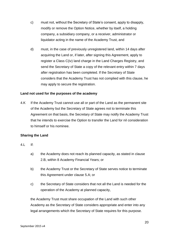- c) must not, without the Secretary of State's consent, apply to disapply, modify or remove the Option Notice, whether by itself, a holding company, a subsidiary company, or a receiver, administrator or liquidator acting in the name of the Academy Trust, and
- d) must, in the case of previously unregistered land, within 14 days after acquiring the Land or, if later, after signing this Agreement, apply to register a Class C(iv) land charge in the Land Charges Registry, and send the Secretary of State a copy of the relevant entry within 7 days after registration has been completed. If the Secretary of State considers that the Academy Trust has not complied with this clause, he may apply to secure the registration.

# **Land not used for the purposes of the academy**

4.K If the Academy Trust cannot use all or part of the Land as the permanent site of the Academy but the Secretary of State agrees not to terminate this Agreement on that basis, the Secretary of State may notify the Academy Trust that he intends to exercise the Option to transfer the Land for nil consideration to himself or his nominee.

# **Sharing the Land**

- $4!$  If
	- a) the Academy does not reach its planned capacity, as stated in clause 2.B, within 8 Academy Financial Years; or
	- b) the Academy Trust or the Secretary of State serves notice to terminate this Agreement under clause 5.A; or
	- c) the Secretary of State considers that not all the Land is needed for the operation of the Academy at planned capacity,

the Academy Trust must share occupation of the Land with such other Academy as the Secretary of State considers appropriate and enter into any legal arrangements which the Secretary of State requires for this purpose.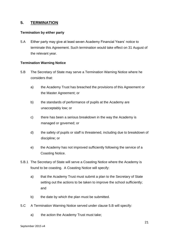# <span id="page-20-0"></span>**5. TERMINATION**

#### <span id="page-20-1"></span>**Termination by either party**

5.A Either party may give at least seven Academy Financial Years' notice to terminate this Agreement. Such termination would take effect on 31 August of the relevant year.

#### <span id="page-20-2"></span>**Termination Warning Notice**

- 5.B The Secretary of State may serve a Termination Warning Notice where he considers that:
	- a) the Academy Trust has breached the provisions of this Agreement or the Master Agreement; or
	- b) the standards of performance of pupils at the Academy are unacceptably low; or
	- c) there has been a serious breakdown in the way the Academy is managed or governed; or
	- d) the safety of pupils or staff is threatened, including due to breakdown of discipline; or
	- e) the Academy has not improved sufficiently following the service of a Coasting Notice.
- 5.B.1 The Secretary of State will serve a Coasting Notice where the Academy is found to be coasting. A Coasting Notice will specify:
	- a) that the Academy Trust must submit a plan to the Secretary of State setting out the actions to be taken to improve the school sufficiently; and
	- b) the date by which the plan must be submitted.
- 5.C A Termination Warning Notice served under clause 5.B will specify:
	- a) the action the Academy Trust must take;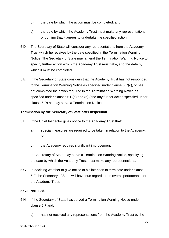- b) the date by which the action must be completed; and
- c) the date by which the Academy Trust must make any representations, or confirm that it agrees to undertake the specified action.
- 5.D The Secretary of State will consider any representations from the Academy Trust which he receives by the date specified in the Termination Warning Notice. The Secretary of State may amend the Termination Warning Notice to specify further action which the Academy Trust must take, and the date by which it must be completed.
- 5.E If the Secretary of State considers that the Academy Trust has not responded to the Termination Warning Notice as specified under clause 5.C(c), or has not completed the action required in the Termination Warning Notice as specified under clauses 5.C(a) and (b) (and any further action specified under clause 5.D) he may serve a Termination Notice.

#### <span id="page-21-0"></span>**Termination by the Secretary of State after inspection**

- 5.F If the Chief Inspector gives notice to the Academy Trust that:
	- a) special measures are required to be taken in relation to the Academy; or
	- b) the Academy requires significant improvement

the Secretary of State may serve a Termination Warning Notice, specifying the date by which the Academy Trust must make any representations.

- 5.G In deciding whether to give notice of his intention to terminate under clause 5.F, the Secretary of State will have due regard to the overall performance of the Academy Trust.
- 5.G.1 Not used.
- 5.H If the Secretary of State has served a Termination Warning Notice under clause 5.F and:
	- a) has not received any representations from the Academy Trust by the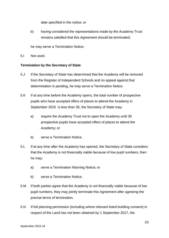date specified in the notice; or

b) having considered the representations made by the Academy Trust remains satisfied that this Agreement should be terminated;

he may serve a Termination Notice.

5.I Not used.

#### <span id="page-22-0"></span>**Termination by the Secretary of State**

- 5.J If the Secretary of State has determined that the Academy will be removed from the Register of Independent Schools and no appeal against that determination is pending, he may serve a Termination Notice.
- 5.K If at any time before the Academy opens, the total number of prospective pupils who have accepted offers of places to attend the Academy in September 2016 is less than 30, the Secretary of State may:
	- a) require the Academy Trust not to open the Academy until 30 prospective pupils have accepted offers of places to attend the Academy; or
	- b) serve a Termination Notice.
- 5.L If at any time after the Academy has opened, the Secretary of State considers that the Academy is not financially viable because of low pupil numbers, then he may:
	- a) serve a Termination Warning Notice; or
	- b) serve a Termination Notice.
- 5.M If both parties agree that the Academy is not financially viable because of low pupil numbers, they may jointly terminate this Agreement after agreeing the precise terms of termination.
- 5.N If full planning permission (including where relevant listed building consent) in respect of the Land has not been obtained by 1 September 2017, the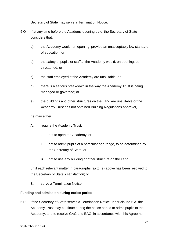Secretary of State may serve a Termination Notice.

- 5.O If at any time before the Academy opening date, the Secretary of State considers that:
	- a) the Academy would, on opening, provide an unacceptably low standard of education; or
	- b) the safety of pupils or staff at the Academy would, on opening, be threatened; or
	- c) the staff employed at the Academy are unsuitable; or
	- d) there is a serious breakdown in the way the Academy Trust is being managed or governed; or
	- e) the buildings and other structures on the Land are unsuitable or the Academy Trust has not obtained Building Regulations approval,

he may either:

- A. require the Academy Trust:
	- i. not to open the Academy; or
	- ii. not to admit pupils of a particular age range, to be determined by the Secretary of State; or
	- iii. not to use any building or other structure on the Land,

until each relevant matter in paragraphs (a) to (e) above has been resolved to the Secretary of State's satisfaction; or

B. serve a Termination Notice.

#### <span id="page-23-0"></span>**Funding and admission during notice period**

5.P If the Secretary of State serves a Termination Notice under clause 5.A, the Academy Trust may continue during the notice period to admit pupils to the Academy, and to receive GAG and EAG, in accordance with this Agreement.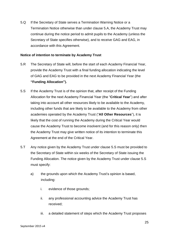5.Q If the Secretary of State serves a Termination Warning Notice or a Termination Notice otherwise than under clause 5.A, the Academy Trust may continue during the notice period to admit pupils to the Academy (unless the Secretary of State specifies otherwise), and to receive GAG and EAG, in accordance with this Agreement.

#### <span id="page-24-0"></span>**Notice of intention to terminate by Academy Trust**

- 5.R The Secretary of State will, before the start of each Academy Financial Year, provide the Academy Trust with a final funding allocation indicating the level of GAG and EAG to be provided in the next Academy Financial Year (the **"Funding Allocation").**
- 5.S If the Academy Trust is of the opinion that, after receipt of the Funding Allocation for the next Academy Financial Year (the "**Critical Year**") and after taking into account all other resources likely to be available to the Academy, including other funds that are likely to be available to the Academy from other academies operated by the Academy Trust ("**All Other Resources**"), it is likely that the cost of running the Academy during the Critical Year would cause the Academy Trust to become insolvent (and for this reason only) then the Academy Trust may give written notice of its intention to terminate this Agreement at the end of the Critical Year.
- 5.T Any notice given by the Academy Trust under clause 5.S must be provided to the Secretary of State within six weeks of the Secretary of State issuing the Funding Allocation. The notice given by the Academy Trust under clause 5.S must specify:
	- a) the grounds upon which the Academy Trust's opinion is based, including:
		- i. evidence of those grounds;
		- ii. any professional accounting advice the Academy Trust has received;
		- iii. a detailed statement of steps which the Academy Trust proposes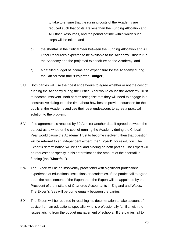to take to ensure that the running costs of the Academy are reduced such that costs are less than the Funding Allocation and All Other Resources, and the period of time within which such steps will be taken; and

- b) the shortfall in the Critical Year between the Funding Allocation and All Other Resources expected to be available to the Academy Trust to run the Academy and the projected expenditure on the Academy; and
- c) a detailed budget of income and expenditure for the Academy during the Critical Year (the "**Projected Budget**").
- 5.U Both parties will use their best endeavours to agree whether or not the cost of running the Academy during the Critical Year would cause the Academy Trust to become insolvent. Both parties recognise that they will need to engage in a constructive dialogue at the time about how best to provide education for the pupils at the Academy and use their best endeavours to agree a practical solution to the problem.
- 5.V If no agreement is reached by 30 April (or another date if agreed between the parties) as to whether the cost of running the Academy during the Critical Year would cause the Academy Trust to become insolvent, then that question will be referred to an independent expert (the "**Expert**") for resolution. The Expert's determination will be final and binding on both parties. The Expert will be requested to specify in his determination the amount of the shortfall in funding (the "**Shortfall**").
- 5.W The Expert will be an insolvency practitioner with significant professional experience of educational institutions or academies. If the parties fail to agree upon the appointment of the Expert then the Expert will be appointed by the President of the Institute of Chartered Accountants in England and Wales. The Expert's fees will be borne equally between the parties.
- 5.X The Expert will be required in reaching his determination to take account of advice from an educational specialist who is professionally familiar with the issues arising from the budget management of schools. If the parties fail to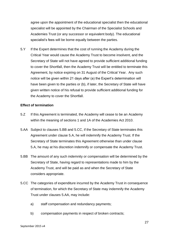agree upon the appointment of the educational specialist then the educational specialist will be appointed by the Chairman of the Specialist Schools and Academies Trust (or any successor or equivalent body). The educational specialist's fees will be borne equally between the parties.

5.Y If the Expert determines that the cost of running the Academy during the Critical Year would cause the Academy Trust to become insolvent, and the Secretary of State will not have agreed to provide sufficient additional funding to cover the Shortfall, then the Academy Trust will be entitled to terminate this Agreement, by notice expiring on 31 August of the Critical Year. Any such notice will be given within 21 days after (a) the Expert's determination will have been given to the parties or (b), if later, the Secretary of State will have given written notice of his refusal to provide sufficient additional funding for the Academy to cover the Shortfall.

#### <span id="page-26-0"></span>**Effect of termination**

- 5.Z If this Agreement is terminated, the Academy will cease to be an Academy within the meaning of sections 1 and 1A of the Academies Act 2010.
- 5.AA Subject to clauses 5.BB and 5.CC, if the Secretary of State terminates this Agreement under clause 5.A, he will indemnify the Academy Trust. If the Secretary of State terminates this Agreement otherwise than under clause 5.A, he may at his discretion indemnify or compensate the Academy Trust.
- 5.BB The amount of any such indemnity or compensation will be determined by the Secretary of State, having regard to representations made to him by the Academy Trust, and will be paid as and when the Secretary of State considers appropriate.
- 5.CC The categories of expenditure incurred by the Academy Trust in consequence of termination, for which the Secretary of State may indemnify the Academy Trust under clauses 5.AA, may include:
	- a) staff compensation and redundancy payments;
	- b) compensation payments in respect of broken contracts;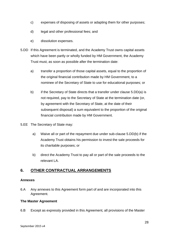- c) expenses of disposing of assets or adapting them for other purposes;
- d) legal and other professional fees; and
- e) dissolution expenses.
- 5.DD If this Agreement is terminated, and the Academy Trust owns capital assets which have been partly or wholly funded by HM Government, the Academy Trust must, as soon as possible after the termination date:
	- a) transfer a proportion of those capital assets, equal to the proportion of the original financial contribution made by HM Government, to a nominee of the Secretary of State to use for educational purposes; or
	- b) if the Secretary of State directs that a transfer under clause 5.DD(a) is not required, pay to the Secretary of State at the termination date (or, by agreement with the Secretary of State, at the date of their subsequent disposal) a sum equivalent to the proportion of the original financial contribution made by HM Government.
- 5.EE The Secretary of State may:
	- a) Waive all or part of the repayment due under sub-clause 5.DD(b) if the Academy Trust obtains his permission to invest the sale proceeds for its charitable purposes; or
	- b) direct the Academy Trust to pay all or part of the sale proceeds to the relevant LA.

# <span id="page-27-0"></span>**6. OTHER CONTRACTUAL ARRANGEMENTS**

#### <span id="page-27-1"></span>**Annexes**

6.A Any annexes to this Agreement form part of and are incorporated into this Agreement.

#### <span id="page-27-2"></span>**The Master Agreement**

6.B Except as expressly provided in this Agreement, all provisions of the Master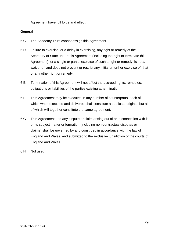Agreement have full force and effect.

#### <span id="page-28-0"></span>**General**

- 6.C The Academy Trust cannot assign this Agreement.
- 6.D Failure to exercise, or a delay in exercising, any right or remedy of the Secretary of State under this Agreement (including the right to terminate this Agreement), or a single or partial exercise of such a right or remedy, is not a waiver of, and does not prevent or restrict any initial or further exercise of, that or any other right or remedy.
- 6.E Termination of this Agreement will not affect the accrued rights, remedies, obligations or liabilities of the parties existing at termination.
- 6.F This Agreement may be executed in any number of counterparts, each of which when executed and delivered shall constitute a duplicate original, but all of which will together constitute the same agreement.
- 6.G This Agreement and any dispute or claim arising out of or in connection with it or its subject matter or formation (including non-contractual disputes or claims) shall be governed by and construed in accordance with the law of England and Wales, and submitted to the exclusive jurisdiction of the courts of England and Wales.
- 6.H Not used.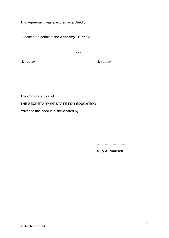This Agreement was executed as a Deed on

Executed on behalf of the **Academy Trust** by:

………………………..

and ………………………..

**Director**

**Director**

The Corporate Seal of

# **THE SECRETARY OF STATE FOR EDUCATION**

affixed to this deed is authenticated by:

……………………………

**Duly Authorised**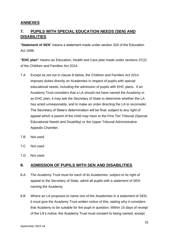# <span id="page-30-0"></span>**ANNEXES**

# <span id="page-30-1"></span>**7. PUPILS WITH SPECIAL EDUCATION NEEDS (SEN) AND DISABILITIES**

"**Statement of SEN**" means a statement made under section 324 of the Education Act 1996.

**"EHC plan"** means an Education, Health and Care plan made under sections 37(2) of the Children and Families Act 2014.

- 7.A Except as set out in clause 8 below, the Children and Families Act 2014 imposes duties directly on Academies in respect of pupils with special educational needs, including the admission of pupils with EHC plans. If an Academy Trust considers that a LA should not have named the Academy in an EHC plan, it may ask the Secretary of State to determine whether the LA has acted unreasonably, and to make an order directing the LA to reconsider. The Secretary of State's determination will be final, subject to any right of appeal which a parent of the child may have to the First Tier Tribunal (Special Educational Needs and Disability) or the Upper Tribunal Administrative Appeals Chamber.
- 7.B Not used
- 7.C Not used
- 7.D Not used.

# <span id="page-30-2"></span>**8. ADMISSION OF PUPILS WITH SEN AND DISABILITIES**

- 8.A The Academy Trust must for each of its Academies, subject to its right of appeal to the Secretary of State, admit all pupils with a statement of SEN naming the Academy.
- 8.B Where an LA proposes to name one of the Academies in a statement of SEN, it must give the Academy Trust written notice of this, stating why it considers that Academy to be suitable for the pupil in question. Within 15 days of receipt of the LA's notice, the Academy Trust must consent to being named, except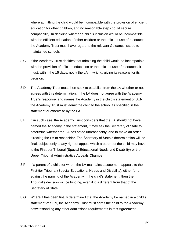where admitting the child would be incompatible with the provision of efficient education for other children, and no reasonable steps could secure compatibility. In deciding whether a child's inclusion would be incompatible with the efficient education of other children or the efficient use of resources, the Academy Trust must have regard to the relevant Guidance issued to maintained schools.

- 8.C If the Academy Trust decides that admitting the child would be incompatible with the provision of efficient education or the efficient use of resources, it must, within the 15 days, notify the LA in writing, giving its reasons for its decision.
- 8.D The Academy Trust must then seek to establish from the LA whether or not it agrees with this determination. If the LA does not agree with the Academy Trust's response, and names the Academy in the child's statement of SEN, the Academy Trust must admit the child to the school as specified in the statement or otherwise by the LA.
- 8.E If in such case, the Academy Trust considers that the LA should not have named the Academy in the statement, it may ask the Secretary of State to determine whether the LA has acted unreasonably, and to make an order directing the LA to reconsider. The Secretary of State's determination will be final, subject only to any right of appeal which a parent of the child may have to the First-tier Tribunal (Special Educational Needs and Disability) or the Upper Tribunal Administrative Appeals Chamber.
- 8.F If a parent of a child for whom the LA maintains a statement appeals to the First-tier Tribunal (Special Educational Needs and Disability), either for or against the naming of the Academy in the child's statement, then the Tribunal's decision will be binding, even if it is different from that of the Secretary of State.
- 8.G Where it has been finally determined that the Academy be named in a child's statement of SEN, the Academy Trust must admit the child to the Academy, notwithstanding any other admissions requirements in this Agreement.